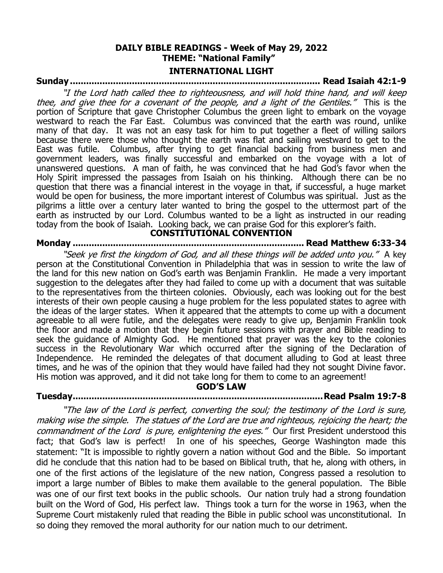### **DAILY BIBLE READINGS - Week of May 29, 2022 THEME: "National Family" INTERNATIONAL LIGHT**

### **Sunday ............................................................................................. Read Isaiah 42:1-9**

"I the Lord hath called thee to righteousness, and will hold thine hand, and will keep thee, and give thee for a covenant of the people, and a light of the Gentiles." This is the portion of Scripture that gave Christopher Columbus the green light to embark on the voyage westward to reach the Far East. Columbus was convinced that the earth was round, unlike many of that day. It was not an easy task for him to put together a fleet of willing sailors because there were those who thought the earth was flat and sailing westward to get to the East was futile. Columbus, after trying to get financial backing from business men and government leaders, was finally successful and embarked on the voyage with a lot of unanswered questions. A man of faith, he was convinced that he had God's favor when the Holy Spirit impressed the passages from Isaiah on his thinking. Although there can be no question that there was a financial interest in the voyage in that, if successful, a huge market would be open for business, the more important interest of Columbus was spiritual. Just as the pilgrims a little over a century later wanted to bring the gospel to the uttermost part of the earth as instructed by our Lord. Columbus wanted to be a light as instructed in our reading today from the book of Isaiah. Looking back, we can praise God for this explorer's faith.

**CONSTITUTIONAL CONVENTION**

## **Monday ...................................................................................... Read Matthew 6:33-34**

"Seek ye first the kingdom of God, and all these things will be added unto you." A key person at the Constitutional Convention in Philadelphia that was in session to write the law of the land for this new nation on God's earth was Benjamin Franklin. He made a very important suggestion to the delegates after they had failed to come up with a document that was suitable to the representatives from the thirteen colonies. Obviously, each was looking out for the best interests of their own people causing a huge problem for the less populated states to agree with the ideas of the larger states. When it appeared that the attempts to come up with a document agreeable to all were futile, and the delegates were ready to give up, Benjamin Franklin took the floor and made a motion that they begin future sessions with prayer and Bible reading to seek the guidance of Almighty God. He mentioned that prayer was the key to the colonies success in the Revolutionary War which occurred after the signing of the Declaration of Independence. He reminded the delegates of that document alluding to God at least three times, and he was of the opinion that they would have failed had they not sought Divine favor. His motion was approved, and it did not take long for them to come to an agreement!

#### **GOD'S LAW**

#### **Tuesday.............................................................................................Read Psalm 19:7-8**

"The law of the Lord is perfect, converting the soul; the testimony of the Lord is sure, making wise the simple. The statues of the Lord are true and righteous, rejoicing the heart; the commandment of the Lord is pure, enlightening the eyes." Our first President understood this fact; that God's law is perfect! In one of his speeches, George Washington made this statement: "It is impossible to rightly govern a nation without God and the Bible. So important did he conclude that this nation had to be based on Biblical truth, that he, along with others, in one of the first actions of the legislature of the new nation, Congress passed a resolution to import a large number of Bibles to make them available to the general population. The Bible was one of our first text books in the public schools. Our nation truly had a strong foundation built on the Word of God, His perfect law. Things took a turn for the worse in 1963, when the Supreme Court mistakenly ruled that reading the Bible in public school was unconstitutional. In so doing they removed the moral authority for our nation much to our detriment.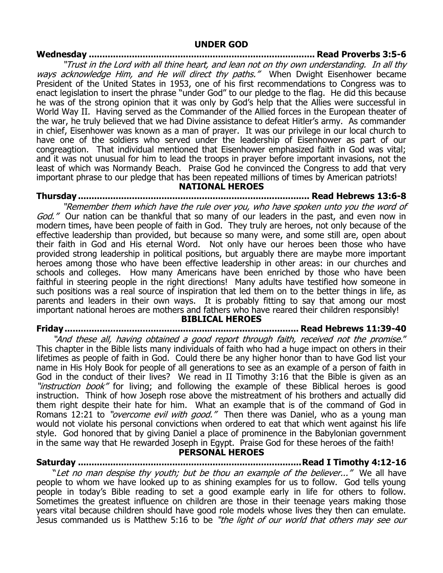### **Wednesday .................................................................................... Read Proverbs 3:5-6**

"Trust in the Lord with all thine heart, and lean not on thy own understanding. In all thy ways acknowledge Him, and He will direct thy paths." When Dwight Eisenhower became President of the United States in 1953, one of his first recommendations to Congress was to enact legislation to insert the phrase "under God" to our pledge to the flag. He did this because he was of the strong opinion that it was only by God's help that the Allies were successful in World Way II. Having served as the Commander of the Allied forces in the European theater of the war, he truly believed that we had Divine assistance to defeat Hitler's army. As commander in chief, Eisenhower was known as a man of prayer. It was our privilege in our local church to have one of the soldiers who served under the leadership of Eisenhower as part of our congreagtion. That individual mentioned that Eisenhower emphasized faith in God was vital; and it was not unusual for him to lead the troops in prayer before important invasions, not the least of which was Normandy Beach. Praise God he convinced the Congress to add that very important phrase to our pledge that has been repeated millions of times by American patriots!

#### **NATIONAL HEROES**

**Thursday ...................................................................................... Read Hebrews 13:6-8**

"Remember them which have the rule over you, who have spoken unto you the word of God." Our nation can be thankful that so many of our leaders in the past, and even now in modern times, have been people of faith in God. They truly are heroes, not only because of the effective leadership than provided, but because so many were, and some still are, open about their faith in God and His eternal Word. Not only have our heroes been those who have provided strong leadership in political positions, but arguably there are maybe more important heroes among those who have been effective leadership in other areas: in our churches and schools and colleges. How many Americans have been enriched by those who have been faithful in steering people in the right directions! Many adults have testified how someone in such positions was a real source of inspiration that led them on to the better things in life, as parents and leaders in their own ways. It is probably fitting to say that among our most important national heroes are mothers and fathers who have reared their children responsibly!

#### **BIBLICAL HEROES**

# **Friday....................................................................................... Read Hebrews 11:39-40**

"And these all, having obtained a good report through faith, received not the promise." This chapter in the Bible lists many individuals of faith who had a huge impact on others in their lifetimes as people of faith in God. Could there be any higher honor than to have God list your name in His Holy Book for people of all generations to see as an example of a person of faith in God in the conduct of their lives? We read in II Timothy 3:16 that the Bible is given as an "*instruction book*" for living; and following the example of these Biblical heroes is good instruction. Think of how Joseph rose above the mistreatment of his brothers and actually did them right despite their hate for him. What an example that is of the command of God in Romans 12:21 to "*overcome evil with good."* Then there was Daniel, who as a young man would not violate his personal convictions when ordered to eat that which went against his life style. God honored that by giving Daniel a place of prominence in the Babylonian government in the same way that He rewarded Joseph in Egypt. Praise God for these heroes of the faith!

### **PERSONAL HEROES**

**Saturday ...................................................................................Read I Timothy 4:12-16** "Let no man despise thy youth; but be thou an example of the believer..." We all have people to whom we have looked up to as shining examples for us to follow. God tells young people in today's Bible reading to set a good example early in life for others to follow. Sometimes the greatest influence on children are those in their teenage years making those years vital because children should have good role models whose lives they then can emulate. Jesus commanded us is Matthew 5:16 to be "the light of our world that others may see our